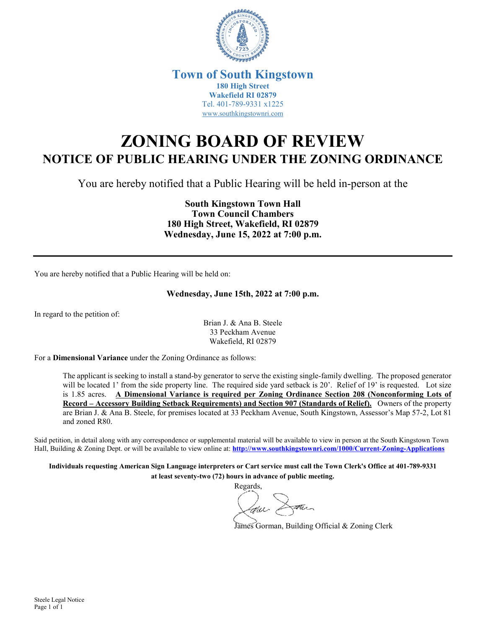

### **Town of South Kingstown 180 High Street Wakefield RI 02879** Tel. 401-789-9331 x1225 [www.southkingstownri.com](http://www.southkingstownri.com/)

# **ZONING BOARD OF REVIEW NOTICE OF PUBLIC HEARING UNDER THE ZONING ORDINANCE**

You are hereby notified that a Public Hearing will be held in-person at the

**South Kingstown Town Hall Town Council Chambers 180 High Street, Wakefield, RI 02879 Wednesday, June 15, 2022 at 7:00 p.m.** 

You are hereby notified that a Public Hearing will be held on:

#### **Wednesday, June 15th, 2022 at 7:00 p.m.**

In regard to the petition of:

Brian J. & Ana B. Steele 33 Peckham Avenue Wakefield, RI 02879

For a **Dimensional Variance** under the Zoning Ordinance as follows:

The applicant is seeking to install a stand-by generator to serve the existing single-family dwelling. The proposed generator will be located 1' from the side property line. The required side yard setback is 20'. Relief of 19' is requested. Lot size is 1.85 acres. **A Dimensional Variance is required per Zoning Ordinance Section 208 (Nonconforming Lots of Record – Accessory Building Setback Requirements) and Section 907 (Standards of Relief).** Owners of the property are Brian J. & Ana B. Steele, for premises located at 33 Peckham Avenue, South Kingstown, Assessor's Map 57-2, Lot 81 and zoned R80.

Said petition, in detail along with any correspondence or supplemental material will be available to view in person at the South Kingstown Town Hall, Building & Zoning Dept. or will be available to view online at: **<http://www.southkingstownri.com/1000/Current-Zoning-Applications>**

**Individuals requesting American Sign Language interpreters or Cart service must call the Town Clerk's Office at 401-789-9331 at least seventy-two (72) hours in advance of public meeting.** 

Regards,

James Gorman, Building Official & Zoning Clerk